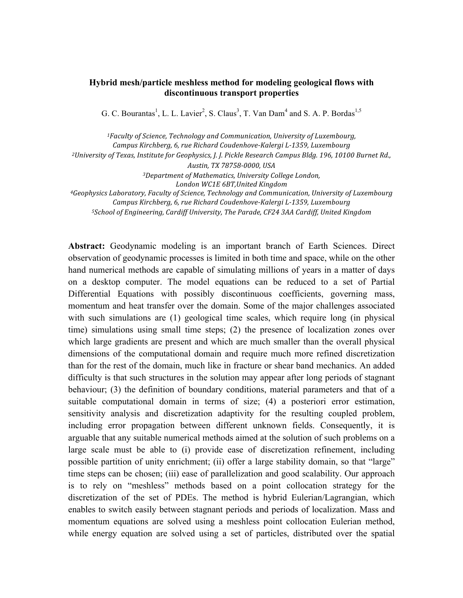## **Hybrid mesh/particle meshless method for modeling geological flows with discontinuous transport properties**

G. C. Bourantas<sup>1</sup>, L. L. Lavier<sup>2</sup>, S. Claus<sup>3</sup>, T. Van Dam<sup>4</sup> and S. A. P. Bordas<sup>1,5</sup>

*1Faculty of Science, Technology and Communication, University of Luxembourg, Campus Kirchberg, 6, rue Richard Coudenhove-Kalergi L-1359, Luxembourg* <sup>2</sup>University of Texas, Institute for Geophysics, J. J. Pickle Research Campus Bldg. 196, 10100 Burnet Rd., *Austin, TX 78758-0000, USA 3Department of Mathematics, University College London, London WC1E 6BT,United Kingdom 4Geophysics Laboratory, Faculty of Science, Technology and Communication, University of Luxembourg Campus Kirchberg, 6, rue Richard Coudenhove-Kalergi L-1359, Luxembourg 5School of Engineering, Cardiff University, The Parade, CF24 3AA Cardiff, United Kingdom*

**Abstract:** Geodynamic modeling is an important branch of Earth Sciences. Direct observation of geodynamic processes is limited in both time and space, while on the other hand numerical methods are capable of simulating millions of years in a matter of days on a desktop computer. The model equations can be reduced to a set of Partial Differential Equations with possibly discontinuous coefficients, governing mass, momentum and heat transfer over the domain. Some of the major challenges associated with such simulations are (1) geological time scales, which require long (in physical time) simulations using small time steps; (2) the presence of localization zones over which large gradients are present and which are much smaller than the overall physical dimensions of the computational domain and require much more refined discretization than for the rest of the domain, much like in fracture or shear band mechanics. An added difficulty is that such structures in the solution may appear after long periods of stagnant behaviour; (3) the definition of boundary conditions, material parameters and that of a suitable computational domain in terms of size; (4) a posteriori error estimation, sensitivity analysis and discretization adaptivity for the resulting coupled problem, including error propagation between different unknown fields. Consequently, it is arguable that any suitable numerical methods aimed at the solution of such problems on a large scale must be able to (i) provide ease of discretization refinement, including possible partition of unity enrichment; (ii) offer a large stability domain, so that "large" time steps can be chosen; (iii) ease of parallelization and good scalability. Our approach is to rely on "meshless" methods based on a point collocation strategy for the discretization of the set of PDEs. The method is hybrid Eulerian/Lagrangian, which enables to switch easily between stagnant periods and periods of localization. Mass and momentum equations are solved using a meshless point collocation Eulerian method, while energy equation are solved using a set of particles, distributed over the spatial